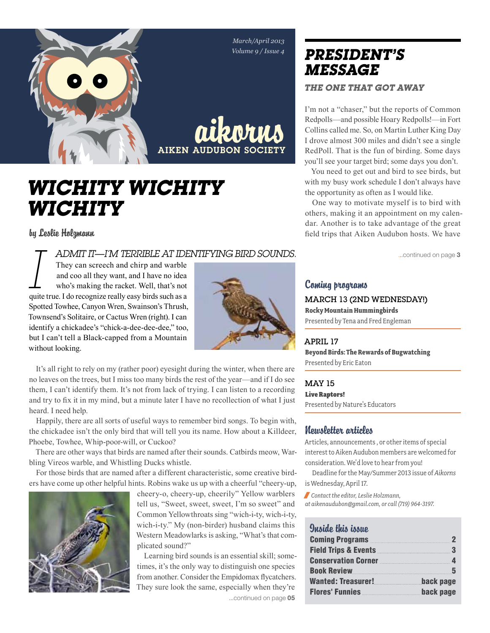

# *Wichity Wichity Wichity*

by Leslie Holzmann

# *I admit it—I'm terrible at identifying bird sounds.*

They can screech and chirp and warble and coo all they want, and I have no idea who's making the racket. Well, that's not quite true. I do recognize really easy birds such as a Spotted Towhee, Canyon Wren, Swainson's Thrush, Townsend's Solitaire, or Cactus Wren (right). I can identify a chickadee's "chick-a-dee-dee-dee," too, but I can't tell a Black-capped from a Mountain without looking.



It's all right to rely on my (rather poor) eyesight during the winter, when there are no leaves on the trees, but I miss too many birds the rest of the year—and if I do see them, I can't identify them. It's not from lack of trying. I can listen to a recording and try to fix it in my mind, but a minute later I have no recollection of what I just heard. I need help.

Happily, there are all sorts of useful ways to remember bird songs. To begin with, the chickadee isn't the only bird that will tell you its name. How about a Killdeer, Phoebe, Towhee, Whip-poor-will, or Cuckoo?

There are other ways that birds are named after their sounds. Catbirds meow, Warbling Vireos warble, and Whistling Ducks whistle.

For those birds that are named after a different characteristic, some creative birders have come up other helpful hints. Robins wake us up with a cheerful "cheery-up,



cheery-o, cheery-up, cheerily" Yellow warblers tell us, "Sweet, sweet, sweet, I'm so sweet" and Common Yellowthroats sing "wich-i-ty, wich-i-ty, wich-i-ty." My (non-birder) husband claims this Western Meadowlarks is asking, "What's that complicated sound?"

Learning bird sounds is an essential skill; sometimes, it's the only way to distinguish one species from another. Consider the Empidomax flycatchers. They sure look the same, especially when they're ...continued on page 05

# *president's message ThE ONE THAT GOT AWAY*

I'm not a "chaser," but the reports of Common Redpolls—and possible Hoary Redpolls!—in Fort Collins called me. So, on Martin Luther King Day I drove almost 300 miles and didn't see a single RedPoll. That is the fun of birding. Some days you'll see your target bird; some days you don't.

You need to get out and bird to see birds, but with my busy work schedule I don't always have the opportunity as often as I would like.

One way to motivate myself is to bird with others, making it an appointment on my calendar. Another is to take advantage of the great field trips that Aiken Audubon hosts. We have

...continued on page 3

### Coming programs

March 13 (2ND WEDNESDAY!) **Rocky Mountain Hummingbirds** Presented by Tena and Fred Engleman

# April 17

**Beyond Birds: The Rewards of Bugwatching**  Presented by Eric Eaton

MAY 15 Live Raptors! Presented by Nature's Educators

### Newsletter articles

Articles, announcements , or other items of special interest to Aiken Audubon members are welcomed for consideration. We'd love to hear from you!

Deadline for the May/Summer 2013 issue of *Aikorns* is Wednesday, April 17.

/ *Contact the editor, Leslie Holzmann,* 

*at aikenaudubon@gmail.com, or call (719) 964-3197.*

# Inside this issue

| Coming Programs 22                                             |           |
|----------------------------------------------------------------|-----------|
| Field Trips & Events <b>Executive Service Contract Control</b> | - 3       |
| Conservation Corner <b>Election</b> 4                          |           |
|                                                                |           |
|                                                                | back page |
| Flores' Funnies <b>Management Control</b>                      | back page |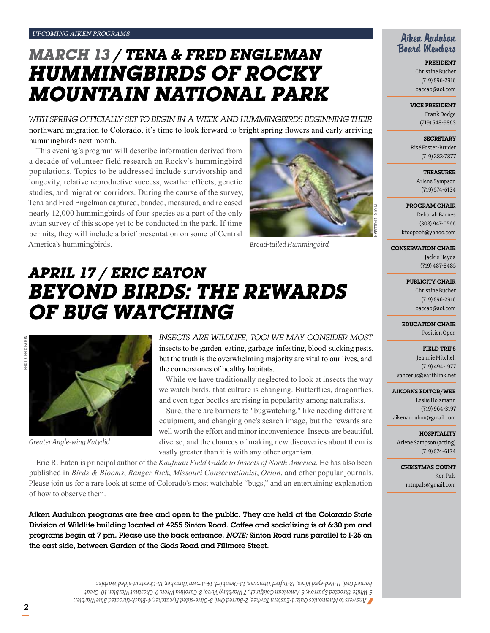# *March 13 / Tena & Fred Engleman Hummingbirds of rocky mountain national park*

*With spring officially set to begin in a week and hummingbirds beginning their*  northward migration to Colorado, it's time to look forward to bright spring flowers and early arriving hummingbirds next month.

This evening's program will describe information derived from a decade of volunteer field research on Rocky's hummingbird populations. Topics to be addressed include survivorship and longevity, relative reproductive success, weather effects, genetic studies, and migration corridors. During the course of the survey, Tena and Fred Engelman captured, banded, measured, and released nearly 12,000 hummingbirds of four species as a part of the only avian survey of this scope yet to be conducted in the park. If time permits, they will include a brief presentation on some of Central America's hummingbirds.



*Broad-tailed Hummingbird*

# *April 17 / Eric Eaton Beyond Birds: The Rewards of Bug Watching*



*Greater Angle-wing Katydid*

*Insects are wildlife, too! We may consider most*  insects to be garden-eating, garbage-infesting, blood-sucking pests, but the truth is the overwhelming majority are vital to our lives, and the cornerstones of healthy habitats.

While we have traditionally neglected to look at insects the way we watch birds, that culture is changing. Butterflies, dragonflies, and even tiger beetles are rising in popularity among naturalists.

Sure, there are barriers to "bugwatching," like needing different equipment, and changing one's search image, but the rewards are well worth the effort and minor inconvenience. Insects are beautiful, diverse, and the chances of making new discoveries about them is vastly greater than it is with any other organism.

Eric R. Eaton is principal author of the *Kaufman Field Guide to Insects of North America*. He has also been published in *Birds & Blooms*, *Ranger Rick*, *Missouri Conservationist*, *Orion*, and other popular journals. Please join us for a rare look at some of Colorado's most watchable "bugs," and an entertaining explanation of how to observe them.

Aiken Audubon programs are free and open to the public. They are held at the Colorado State Division of Wildlife building located at 4255 Sinton Road. Coffee and socializing is at 6:30 pm and programs begin at 7 pm. Please use the back entrance. *Note:* Sinton Road runs parallel to I-25 on the east side, between Garden of the Gods Road and Fillmore Street.

> *Answers to Mnemonics Quiz: 1-Eastern Towhee, 2-Barred Owl, 3-Olive-sided Flycatcher, 4-Black-throated Blue Warbler,* / *5-White-throated Sparrow, 6-American Goldfinch, 7-Warbling Vireo, 8-Carolina Wren, 9-Chestnut Warbler, 10-Greathorned Owl, 11-Red-eyed Vireo, 12-Tufted Titmouse, 13-Ovenbird, 14-Brown Thrasher, 15-Chestnut-sided Warbler.*

## Aiken Audubon Board Members

President Christine Bucher (719) 596-2916 baccab@aol.com

Vice President

Frank Dodge (719) 548-9863

**SECRETARY** 

Risë Foster-Bruder (719) 282-7877

> **TREASURER** Arlene Sampson (719) 574-6134

Program Chair

Deborah Barnes (303) 947-0566 kfoopooh@yahoo.com

Conservation Chair Jackie Heyda (719) 487-8485

> PUBLICITY CHAIR Christine Bucher (719) 596-2916 baccab@aol.com

Education Chair Position Open

> Field Trips Jeannie Mitchell

(719) 494-1977 vancerus@earthlink.net

#### Aikorns Editor/Web

Leslie Holzmann (719) 964-3197 aikenaudubon@gmail.com

**HOSPITALITY** Arlene Sampson (acting) (719) 574-6134

Christmas Count Ken Pals mtnpals@gmail.com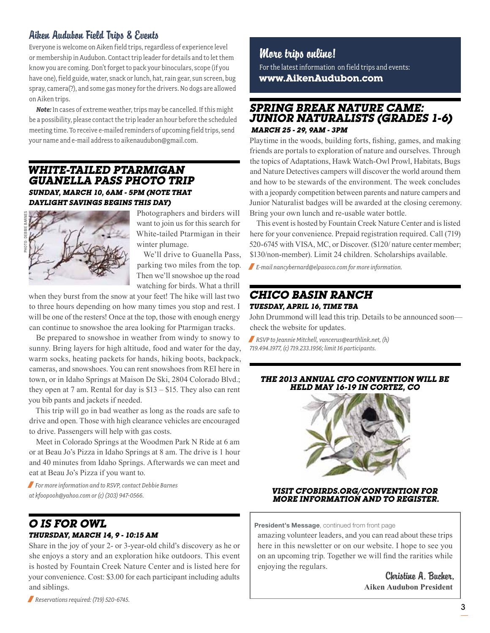# Aiken Audubon Field Trips & Events

Everyone is welcome on Aiken field trips, regardless of experience level or membership in Audubon. Contact trip leader for details and to let them know you are coming. Don't forget to pack your binoculars, scope (if you have one), field guide, water, snack or lunch, hat, rain gear, sun screen, bug spray, camera(?), and some gas money for the drivers. No dogs are allowed on Aiken trips.

*Note:* In cases of extreme weather, trips may be cancelled. If this might be a possibility, please contact the trip leader an hour before the scheduled meeting time. To receive e-mailed reminders of upcoming field trips, send your name and e-mail address to aikenaudubon@gmail.com.

## *White-tailed ptarmigan guanella pass photo trip Sunday, March 10, 6am - 5pm (Note that daylight savings begins this day)*



Photographers and birders will want to join us for this search for White-tailed Ptarmigan in their winter plumage.

We'll drive to Guanella Pass, parking two miles from the top. Then we'll snowshoe up the road watching for birds. What a thrill

when they burst from the snow at your feet! The hike will last two to three hours depending on how many times you stop and rest. I will be one of the resters! Once at the top, those with enough energy can continue to snowshoe the area looking for Ptarmigan tracks.

Be prepared to snowshoe in weather from windy to snowy to sunny. Bring layers for high altitude, food and water for the day, warm socks, heating packets for hands, hiking boots, backpack, cameras, and snowshoes. You can rent snowshoes from REI here in town, or in Idaho Springs at Maison De Ski, 2804 Colorado Blvd.; they open at 7 am. Rental for day is \$13 – \$15. They also can rent you bib pants and jackets if needed.

This trip will go in bad weather as long as the roads are safe to drive and open. Those with high clearance vehicles are encouraged to drive. Passengers will help with gas costs.

Meet in Colorado Springs at the Woodmen Park N Ride at 6 am or at Beau Jo's Pizza in Idaho Springs at 8 am. The drive is 1 hour and 40 minutes from Idaho Springs. Afterwards we can meet and eat at Beau Jo's Pizza if you want to.

/ *For more information and to RSVP, contact Debbie Barnes at kfoopooh@yahoo.com or (c) (303) 947-0566.*

# *O is for Owl Thursday, March 14, 9 - 10:15 am*

Share in the joy of your 2- or 3-year-old child's discovery as he or she enjoys a story and an exploration hike outdoors. This event is hosted by Fountain Creek Nature Center and is listed here for your convenience. Cost: \$3.00 for each participant including adults and siblings.

/ *Reservations required: (719) 520-6745.*

# More trips online!

For the latest information on field trips and events: **www.AikenAudubon.com**

# *spring break nature came: junior naturalists (grades 1-6) March 25 - 29, 9am - 3pm*

Playtime in the woods, building forts, fishing, games, and making friends are portals to exploration of nature and ourselves. Through the topics of Adaptations, Hawk Watch-Owl Prowl, Habitats, Bugs and Nature Detectives campers will discover the world around them and how to be stewards of the environment. The week concludes with a jeopardy competition between parents and nature campers and Junior Naturalist badges will be awarded at the closing ceremony. Bring your own lunch and re-usable water bottle.

This event is hosted by Fountain Creek Nature Center and is listed here for your convenience. Prepaid registration required. Call (719) 520-6745 with VISA, MC, or Discover. (\$120/ nature center member; \$130/non-member). Limit 24 children. Scholarships available.

/ *E-mail nancybernard@elpasoco.com for more information.*

## *chicO basin ranch Tuesday, april 16, time tba*

John Drummond will lead this trip. Details to be announced soon check the website for updates.

/ *RSVP to Jeannie Mitchell, vancerus@earthlink.net, (h) 719.494.1977, (c) 719.233.1956; limit 16 participants.*

#### *The 2013 Annual CFO Convention Will Be Held May 16-19 in Cortez, CO*



*Visit cfobirds.org/convention for more information and to register.*

President's Message, continued from front page

amazing volunteer leaders, and you can read about these trips here in this newsletter or on our website. I hope to see you on an upcoming trip. Together we will find the rarities while enjoying the regulars.

> Christine A. Bucher, **Aiken Audubon President**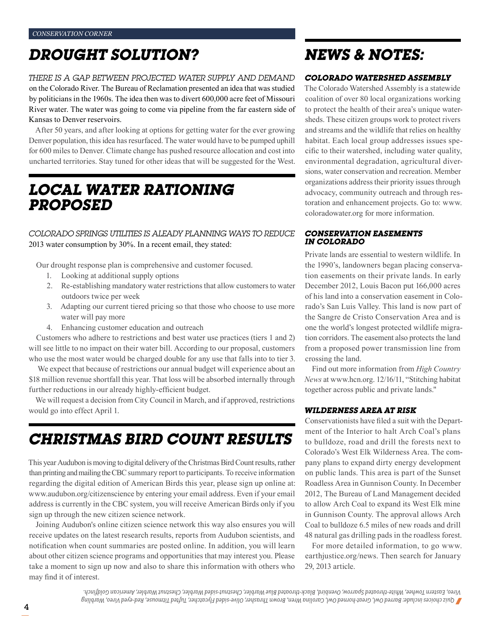# *Drought solution?*

*There is a gap between projected water supply and demand*  on the Colorado River. The Bureau of Reclamation presented an idea that was studied by politicians in the 1960s. The idea then was to divert 600,000 acre feet of Missouri River water. The water was going to come via pipeline from the far eastern side of Kansas to Denver reservoirs.

After 50 years, and after looking at options for getting water for the ever growing Denver population, this idea has resurfaced. The water would have to be pumped uphill for 600 miles to Denver. Climate change has pushed resource allocation and cost into uncharted territories. Stay tuned for other ideas that will be suggested for the West.

# *Local Water Rationing Proposed*

*Colorado Springs Utilities is aleady planning ways to reduce*  2013 water consumption by 30%. In a recent email, they stated:

Our drought response plan is comprehensive and customer focused.

- 1. Looking at additional supply options
- 2. Re-establishing mandatory water restrictions that allow customers to water outdoors twice per week
- 3. Adapting our current tiered pricing so that those who choose to use more water will pay more
- 4. Enhancing customer education and outreach

Customers who adhere to restrictions and best water use practices (tiers 1 and 2) will see little to no impact on their water bill. According to our proposal, customers who use the most water would be charged double for any use that falls into to tier 3.

 We expect that because of restrictions our annual budget will experience about an \$18 million revenue shortfall this year. That loss will be absorbed internally through further reductions in our already highly-efficient budget.

We will request a decision from City Council in March, and if approved, restrictions would go into effect April 1.

# *Christmas Bird Count Results*

This year Audubon is moving to digital delivery of the Christmas Bird Count results, rather than printing and mailing the CBC summary report to participants. To receive information regarding the digital edition of American Birds this year, please sign up online at: www.audubon.org/citizenscience by entering your email address. Even if your email address is currently in the CBC system, you will receive American Birds only if you sign up through the new citizen science network.

Joining Audubon's online citizen science network this way also ensures you will receive updates on the latest research results, reports from Audubon scientists, and notification when count summaries are posted online. In addition, you will learn about other citizen science programs and opportunities that may interest you. Please take a moment to sign up now and also to share this information with others who may find it of interest.

# *News & Notes:*

#### *Colorado Watershed Assembly*

The Colorado Watershed Assembly is a statewide coalition of over 80 local organizations working to protect the health of their area's unique watersheds. These citizen groups work to protect rivers and streams and the wildlife that relies on healthy habitat. Each local group addresses issues specific to their watershed, including water quality, environmental degradation, agricultural diversions, water conservation and recreation. Member organizations address their priority issues through advocacy, community outreach and through restoration and enhancement projects. Go to: www. coloradowater.org for more information.

#### *Conservation Easements in Colorado*

Private lands are essential to western wildlife. In the 1990's, landowners began placing conservation easements on their private lands. In early December 2012, Louis Bacon put 166,000 acres of his land into a conservation easement in Colorado's San Luis Valley. This land is now part of the Sangre de Cristo Conservation Area and is one the world's longest protected wildlife migration corridors. The easement also protects the land from a proposed power transmission line from crossing the land.

Find out more information from *High Country News* at www.hcn.org. 12/16/11, "Stitching habitat together across public and private lands."

#### *Wilderness Area at Risk*

Conservationists have filed a suit with the Department of the Interior to halt Arch Coal's plans to bulldoze, road and drill the forests next to Colorado's West Elk Wilderness Area. The company plans to expand dirty energy development on public lands. This area is part of the Sunset Roadless Area in Gunnison County. In December 2012, The Bureau of Land Management decided to allow Arch Coal to expand its West Elk mine in Gunnison County. The approval allows Arch Coal to bulldoze 6.5 miles of new roads and drill 48 natural gas drilling pads in the roadless forest.

For more detailed information, to go www. earthjustice.org/news. Then search for January 29, 2013 article.

*Quiz choices include: Barred Owl, Great-horned Owl, Carolina Wren, Brown Thrasher, Olive-sided Flycatcher, Tufted Titmouse, Red-eyed Vireo, Warbling* / *Vireo, Eastern Towhee, White-throated Sparrow, Ovenbird, Black-throated Blue Warbler, Chestnut-sided Warbler, Chestnut Warbler, American Goldfinch.*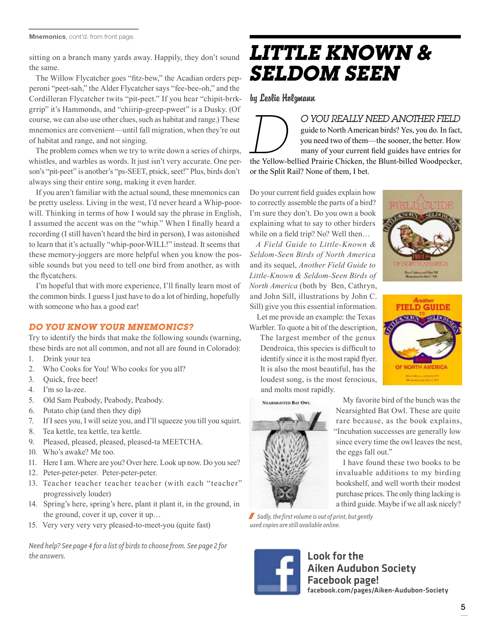Mnemonics, cont'd. from front page.

sitting on a branch many yards away. Happily, they don't sound the same.

The Willow Flycatcher goes "fitz-bew," the Acadian orders pepperoni "peet-sah," the Alder Flycatcher says "fee-bee-oh," and the Cordilleran Flycatcher twits "pit-peet." If you hear "chipit-brrkgrrip" it's Hammonds, and "chiirip-greep-pweet" is a Dusky. (Of course, we can also use other clues, such as habitat and range.) These mnemonics are convenient—until fall migration, when they're out of habitat and range, and not singing.

The problem comes when we try to write down a series of chirps, whistles, and warbles as words. It just isn't very accurate. One person's "pit-peet" is another's "ps-SEET, ptsick, seet!" Plus, birds don't always sing their entire song, making it even harder.

If you aren't familiar with the actual sound, these mnemonics can be pretty useless. Living in the west, I'd never heard a Whip-poorwill. Thinking in terms of how I would say the phrase in English, I assumed the accent was on the "whip." When I finally heard a recording (I still haven't heard the bird in person), I was astonished to learn that it's actually "whip-poor-WILL!" instead. It seems that these memory-joggers are more helpful when you know the possible sounds but you need to tell one bird from another, as with the flycatchers.

I'm hopeful that with more experience, I'll finally learn most of the common birds. I guess I just have to do a lot of birding, hopefully with someone who has a good ear!

#### *Do You Know Your Mnemonics?*

Try to identify the birds that make the following sounds (warning, these birds are not all common, and not all are found in Colorado):

- 1. Drink your tea
- 2. Who Cooks for You! Who cooks for you all?
- 3. Quick, free beer!
- 4. I'm so la-zee.
- 5. Old Sam Peabody, Peabody, Peabody.
- 6. Potato chip (and then they dip)
- 7. If I sees you, I will seize you, and I'll squeeze you till you squirt.
- 8. Tea kettle, tea kettle, tea kettle.
- 9. Pleased, pleased, pleased, pleased-ta MEETCHA.
- 10. Who's awake? Me too.
- 11. Here I am. Where are you? Over here. Look up now. Do you see?
- 12. Peter-peter-peter. Peter-peter-peter.
- 13. Teacher teacher teacher teacher (with each "teacher" progressively louder)
- 14. Spring's here, spring's here, plant it plant it, in the ground, in the ground, cover it up, cover it up…
- 15. Very very very very pleased-to-meet-you (quite fast)

*Need help? See page 4 for a list of birds to choose from. See page 2 for the answers.*

# *Little Known & Seldom Seen*

### by Leslie Holzmann

*D YOU REALLY NEED ANOTHER FIELD* guide to North American birds? Yes, you do. In fact, you need two of them—the sooner, the better. How many of your current field guides have entries for the Yellow-bellied Prairie Chicke guide to North American birds? Yes, you do. In fact, you need two of them—the sooner, the better. How many of your current field guides have entries for or the Split Rail? None of them, I bet.

Do your current field guides explain how to correctly assemble the parts of a bird? I'm sure they don't. Do you own a book explaining what to say to other birders while on a field trip? No? Well then...

*A Field Guide to Little-Known & Seldom-Seen Birds of North America*  and its sequel, *Another Field Guide to Little-Known & Seldom-Seen Birds of North America* (both by Ben, Cathryn, and John Sill, illustrations by John C. Sill) give you this essential information.

Let me provide an example: the Texas Warbler. To quote a bit of the description,

The largest member of the genus Dendroica, this species is difficult to identify since it is the most rapid flyer. It is also the most beautiful, has the loudest song, is the most ferocious, and molts most rapidly.





/ *Sadly, the first volume is out of print, but gently used copies are still available online.* 



Look for the Aiken Audubon Society Facebook page! facebook.com/pages/Aiken-Audubon-Society

the eggs fall out."



**TIEL DIGIUIDE** 

OF NORTH AMERICA

My favorite bird of the bunch was the Nearsighted Bat Owl. These are quite rare because, as the book explains, "Incubation successes are generally low since every time the owl leaves the nest,

I have found these two books to be invaluable additions to my birding bookshelf, and well worth their modest purchase prices. The only thing lacking is a third guide. Maybe if we all ask nicely?

5